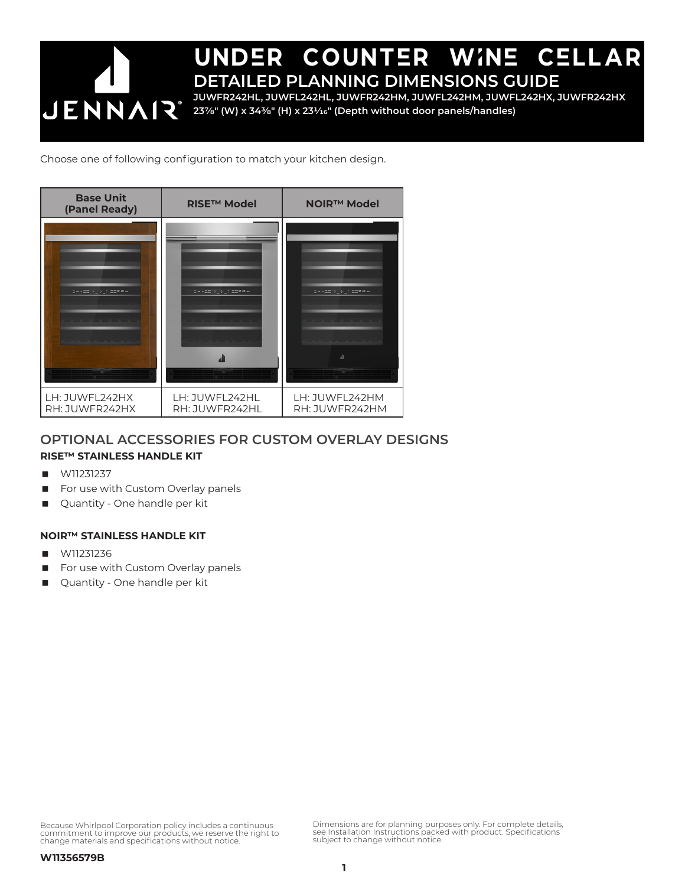

Choose one of following configuration to match your kitchen design.



### **OPTIONAL ACCESSORIES FOR CUSTOM OVERLAY DESIGNS**

#### **RISE™ STAINLESS HANDLE KIT**

- W11231237
- For use with Custom Overlay panels
- **Quantity One handle per kit**

#### **NOIR™ STAINLESS HANDLE KIT**

- W11231236
- For use with Custom Overlay panels
- **Quantity One handle per kit**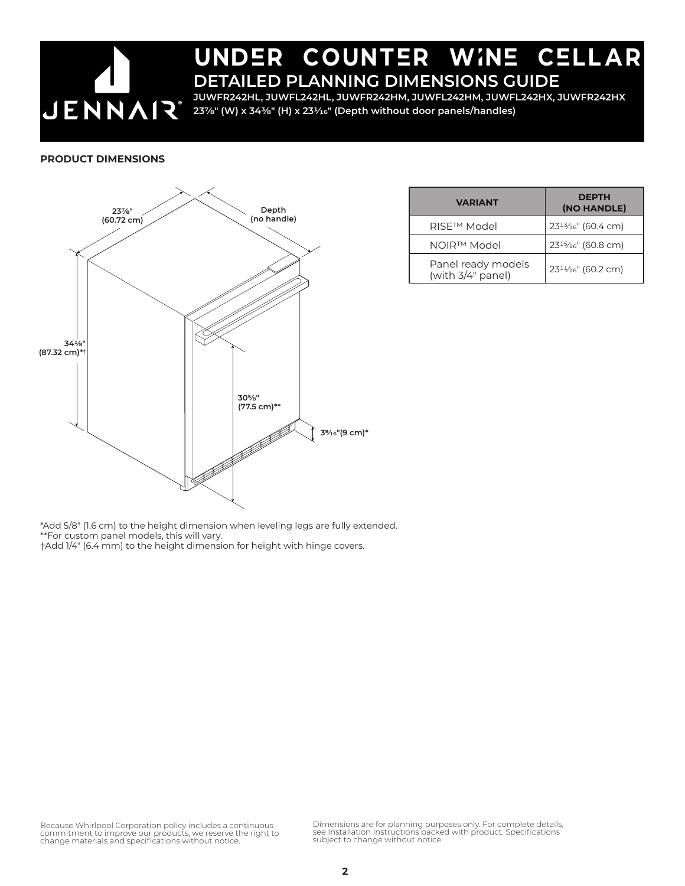

**JUWFR242HL, JUWFL242HL, JUWFR242HM, JUWFL242HM, JUWFL242HX, JUWFR242HX 237/8" (W) x 343/8" (H) x 231/16" (Depth without door panels/handles)**

#### **PRODUCT DIMENSIONS**



| <b>VARIANT</b>                          | <b>DEPTH</b><br>(NO HANDLE) |
|-----------------------------------------|-----------------------------|
| RISE <sup>™</sup> Model                 | $23^{13}/_{16}$ " (60.4 cm) |
| NOIR™ Model                             | $23^{15}/_{16}$ " (60.8 cm) |
| Panel ready models<br>(with 3/4" panel) | $23^{11}/16$ " (60.2 cm)    |

\*Add 5/8" (1.6 cm) to the height dimension when leveling legs are fully extended. \*\*For custom panel models, this will vary. †Add 1/4" (6.4 mm) to the height dimension for height with hinge covers.

Because Whirlpool Corporation policy includes a continuous commitment to improve our products, we reserve the right to change materials and specifications without notice.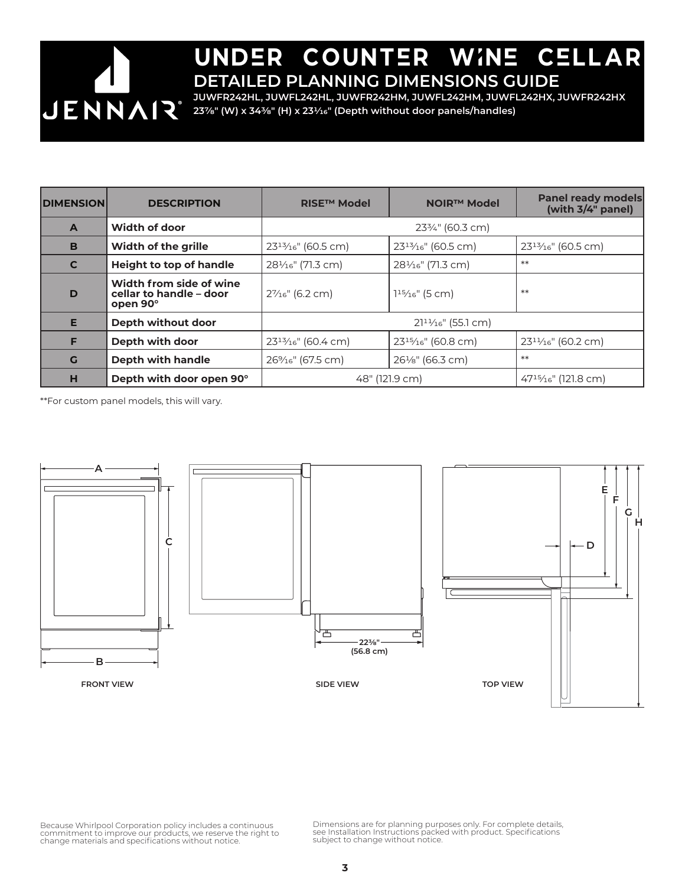

**JUWFR242HL, JUWFL242HL, JUWFR242HM, JUWFL242HM, JUWFL242HX, JUWFR242HX 237/8" (W) x 343/8" (H) x 231/16" (Depth without door panels/handles)**

| <b>DIMENSION</b> | <b>DESCRIPTION</b>                                             | <b>RISE™ Model</b>             | <b>NOIR™ Model</b>             | <b>Panel ready models</b><br>(with 3/4" panel) |
|------------------|----------------------------------------------------------------|--------------------------------|--------------------------------|------------------------------------------------|
| $\mathbf{A}$     | Width of door                                                  | 233/4" (60.3 cm)               |                                |                                                |
| B                | <b>Width of the grille</b>                                     | $23^{13}/16$ " (60.5 cm)       | $23^{13}/16$ " (60.5 cm)       | $23^{13}/16$ " (60.5 cm)                       |
| $\mathbf C$      | <b>Height to top of handle</b>                                 | 281/ <sub>16</sub> " (71.3 cm) | 281/ <sub>16</sub> " (71.3 cm) | $**$                                           |
| D                | Width from side of wine<br>cellar to handle - door<br>open 90° | $2\frac{7}{16}$ " (6.2 cm)     | $115/16$ " (5 cm)              | $**$                                           |
| E                | Depth without door                                             | $21^{11}/16$ " (55.1 cm)       |                                |                                                |
| F                | Depth with door                                                | $23^{13}/16$ " (60.4 cm)       | $23^{15}/16$ " (60.8 cm)       | $23^{11}/16$ " (60.2 cm)                       |
| G                | <b>Depth with handle</b>                                       | 26% <sub>16</sub> " (67.5 cm)  | 261/ <sub>8</sub> " (66.3 cm)  | $**$                                           |
| н                | Depth with door open 90°                                       | 48" (121.9 cm)                 |                                | $47^{15}/_{16}$ " (121.8 cm)                   |

\*\*For custom panel models, this will vary.



Because Whirlpool Corporation policy includes a continuous<br>commitment to improve our products, we reserve the right to<br>change materials and specifications without notice.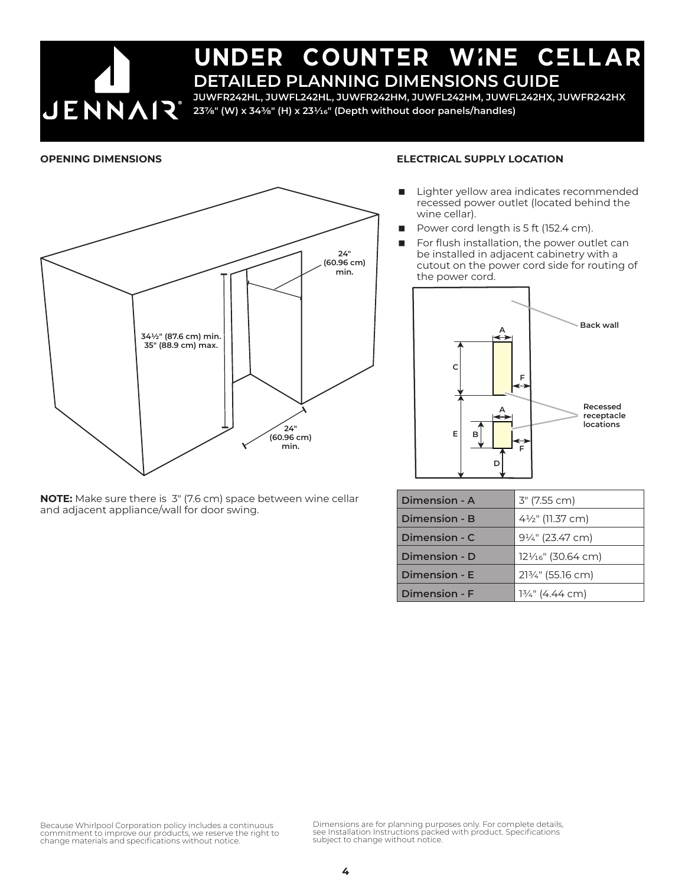

**JUWFR242HL, JUWFL242HL, JUWFR242HM, JUWFL242HM, JUWFL242HX, JUWFR242HX 237/8" (W) x 343/8" (H) x 231/16" (Depth without door panels/handles)**

#### **OPENING DIMENSIONS**



**NOTE:** Make sure there is 3" (7.6 cm) space between wine cellar and adjacent appliance/wall for door swing.

#### **ELECTRICAL SUPPLY LOCATION**

- Lighter yellow area indicates recommended recessed power outlet (located behind the wine cellar).
- Power cord length is 5 ft (152.4 cm).
- For flush installation, the power outlet can be installed in adjacent cabinetry with a cutout on the power cord side for routing of the power cord.



| Dimension - A        | 3" (7.55 cm)                 |
|----------------------|------------------------------|
| Dimension - B        | 41/2" (11.37 cm)             |
| Dimension - C        | 91/4" (23.47 cm)             |
| Dimension - D        | $12\frac{1}{6}$ " (30.64 cm) |
| Dimension - E        | 213/4" (55.16 cm)            |
| <b>Dimension - F</b> | $1\frac{3}{4}$ " (4.44 cm)   |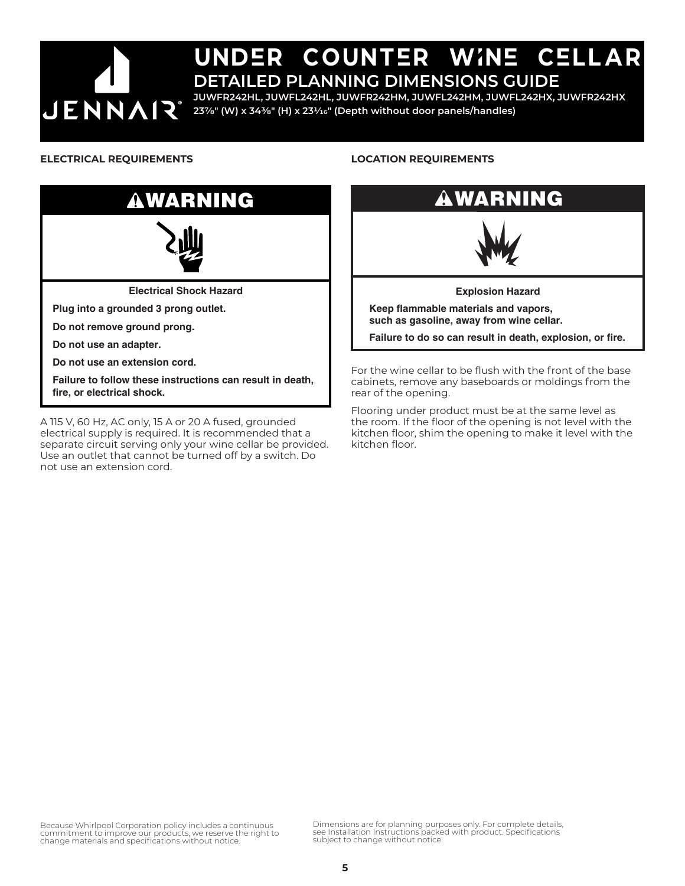

**JUWFR242HL, JUWFL242HL, JUWFR242HM, JUWFL242HM, JUWFL242HX, JUWFR242HX 237/8" (W) x 343/8" (H) x 231/16" (Depth without door panels/handles)**

#### **ELECTRICAL REQUIREMENTS**



A 115 V, 60 Hz, AC only, 15 A or 20 A fused, grounded electrical supply is required. It is recommended that a separate circuit serving only your wine cellar be provided. Use an outlet that cannot be turned off by a switch. Do not use an extension cord.

#### **LOCATION REQUIREMENTS**



For the wine cellar to be flush with the front of the base cabinets, remove any baseboards or moldings from the rear of the opening.

Flooring under product must be at the same level as the room. If the floor of the opening is not level with the kitchen floor, shim the opening to make it level with the kitchen floor.